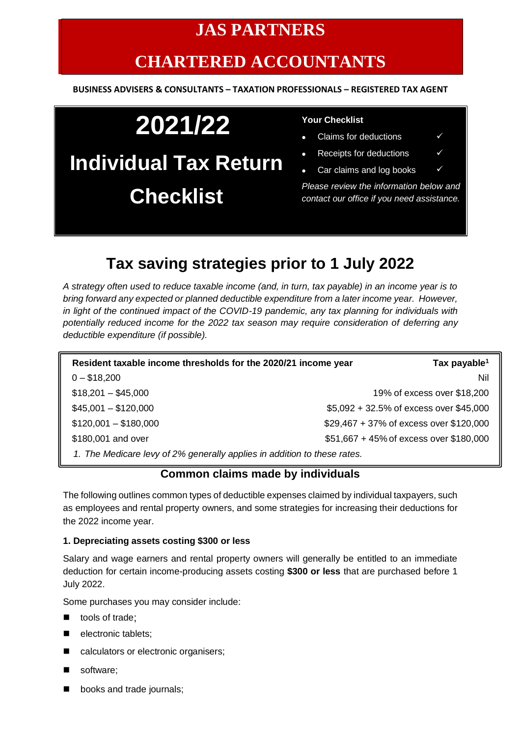# **JAS PARTNERS**

# **CHARTERED ACCOUNTANTS**

#### **BUSINESS ADVISERS & CONSULTANTS – TAXATION PROFESSIONALS – REGISTERED TAX AGENT**

# **2021/22 Individual Tax Return Checklist**

#### **Your Checklist**

- Claims for deductions  $\checkmark$
- Receipts for deductions  $\checkmark$
- Car claims and log books  $\checkmark$

*Please review the information below and contact our office if you need assistance.*

# **Tax saving strategies prior to 1 July 2022**

*A strategy often used to reduce taxable income (and, in turn, tax payable) in an income year is to bring forward any expected or planned deductible expenditure from a later income year. However, in light of the continued impact of the COVID-19 pandemic, any tax planning for individuals with potentially reduced income for the 2022 tax season may require consideration of deferring any deductible expenditure (if possible).*

| Resident taxable income thresholds for the 2020/21 income year           | Tax payable <sup>1</sup>                |
|--------------------------------------------------------------------------|-----------------------------------------|
| $0 - $18,200$                                                            | Nil                                     |
| $$18,201 - $45,000$                                                      | 19% of excess over \$18,200             |
| $$45,001 - $120,000$                                                     | \$5,092 + 32.5% of excess over \$45,000 |
| $$120,001 - $180,000$                                                    | \$29,467 + 37% of excess over \$120,000 |
| \$180,001 and over                                                       | \$51,667 + 45% of excess over \$180,000 |
| 1. The Medicare levy of 2% generally applies in addition to these rates. |                                         |

### **Common claims made by individuals**

The following outlines common types of deductible expenses claimed by individual taxpayers, such as employees and rental property owners, and some strategies for increasing their deductions for the 2022 income year.

#### **1. Depreciating assets costing \$300 or less**

Salary and wage earners and rental property owners will generally be entitled to an immediate deduction for certain income-producing assets costing **\$300 or less** that are purchased before 1 July 2022.

Some purchases you may consider include:

- tools of trade;
- electronic tablets;
- calculators or electronic organisers;
- software;
- books and trade journals;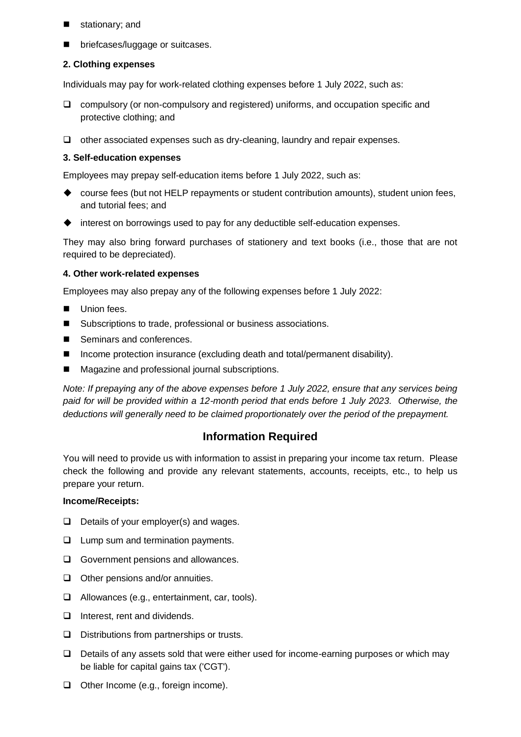- stationary; and
- briefcases/luggage or suitcases.

#### **2. Clothing expenses**

Individuals may pay for work-related clothing expenses before 1 July 2022, such as:

- ❑ compulsory (or non-compulsory and registered) uniforms, and occupation specific and protective clothing; and
- ❑ other associated expenses such as dry-cleaning, laundry and repair expenses.

#### **3. Self-education expenses**

Employees may prepay self-education items before 1 July 2022, such as:

- ◆ course fees (but not HELP repayments or student contribution amounts), student union fees, and tutorial fees; and
- ◆ interest on borrowings used to pay for any deductible self-education expenses.

They may also bring forward purchases of stationery and text books (i.e., those that are not required to be depreciated).

#### **4. Other work-related expenses**

Employees may also prepay any of the following expenses before 1 July 2022:

- Union fees.
- Subscriptions to trade, professional or business associations.
- Seminars and conferences.
- Income protection insurance (excluding death and total/permanent disability).
- Magazine and professional journal subscriptions.

*Note: If prepaying any of the above expenses before 1 July 2022, ensure that any services being paid for will be provided within a 12-month period that ends before 1 July 2023. Otherwise, the deductions will generally need to be claimed proportionately over the period of the prepayment.*

## **Information Required**

You will need to provide us with information to assist in preparing your income tax return. Please check the following and provide any relevant statements, accounts, receipts, etc., to help us prepare your return.

#### **Income/Receipts:**

- ❑ Details of your employer(s) and wages.
- ❑ Lump sum and termination payments.
- ❑ Government pensions and allowances.
- ❑ Other pensions and/or annuities.
- ❑ Allowances (e.g., entertainment, car, tools).
- ❑ Interest, rent and dividends.
- ❑ Distributions from partnerships or trusts.
- ❑ Details of any assets sold that were either used for income-earning purposes or which may be liable for capital gains tax ('CGT').
- ❑ Other Income (e.g., foreign income).